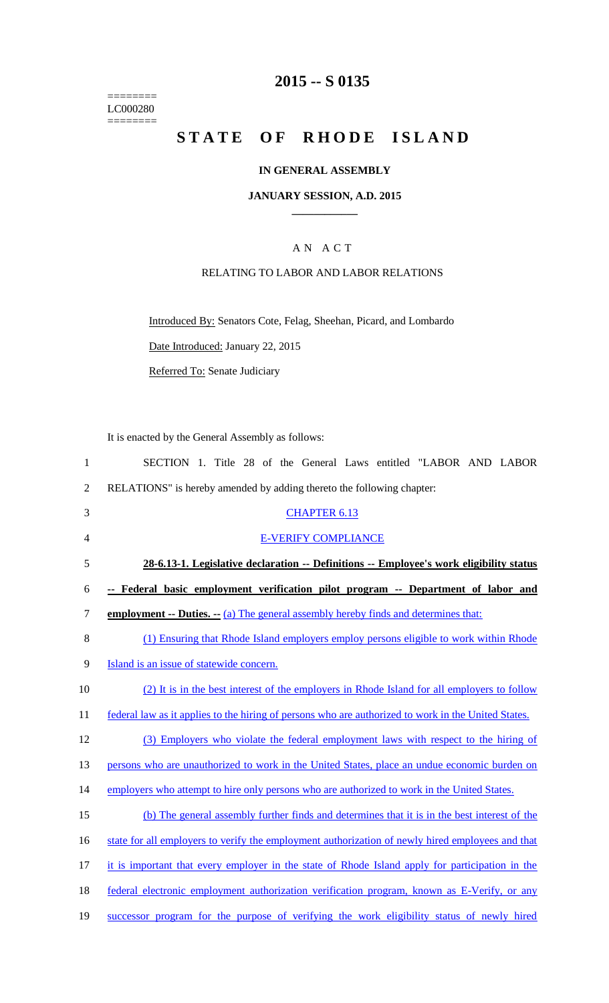======== LC000280  $=$ 

# **2015 -- S 0135**

# STATE OF RHODE ISLAND

### **IN GENERAL ASSEMBLY**

### **JANUARY SESSION, A.D. 2015 \_\_\_\_\_\_\_\_\_\_\_\_**

### A N A C T

### RELATING TO LABOR AND LABOR RELATIONS

Introduced By: Senators Cote, Felag, Sheehan, Picard, and Lombardo

Date Introduced: January 22, 2015

Referred To: Senate Judiciary

It is enacted by the General Assembly as follows:

| $\mathbf{1}$   | SECTION 1. Title 28 of the General Laws entitled "LABOR AND LABOR                                   |
|----------------|-----------------------------------------------------------------------------------------------------|
| $\overline{2}$ | RELATIONS" is hereby amended by adding thereto the following chapter:                               |
| 3              | <b>CHAPTER 6.13</b>                                                                                 |
| $\overline{4}$ | <b>E-VERIFY COMPLIANCE</b>                                                                          |
| 5              | 28-6.13-1. Legislative declaration -- Definitions -- Employee's work eligibility status             |
| 6              | -- Federal basic employment verification pilot program -- Department of labor and                   |
| 7              | <b>employment -- Duties. --</b> (a) The general assembly hereby finds and determines that:          |
| 8              | (1) Ensuring that Rhode Island employers employ persons eligible to work within Rhode               |
| 9              | Island is an issue of statewide concern.                                                            |
| 10             | (2) It is in the best interest of the employers in Rhode Island for all employers to follow         |
| 11             | federal law as it applies to the hiring of persons who are authorized to work in the United States. |
| 12             | (3) Employers who violate the federal employment laws with respect to the hiring of                 |
| 13             | persons who are unauthorized to work in the United States, place an undue economic burden on        |
| 14             | employers who attempt to hire only persons who are authorized to work in the United States.         |
| 15             | (b) The general assembly further finds and determines that it is in the best interest of the        |
| 16             | state for all employers to verify the employment authorization of newly hired employees and that    |
| 17             | it is important that every employer in the state of Rhode Island apply for participation in the     |
| 18             | federal electronic employment authorization verification program, known as E-Verify, or any         |
| 19             | successor program for the purpose of verifying the work eligibility status of newly hired           |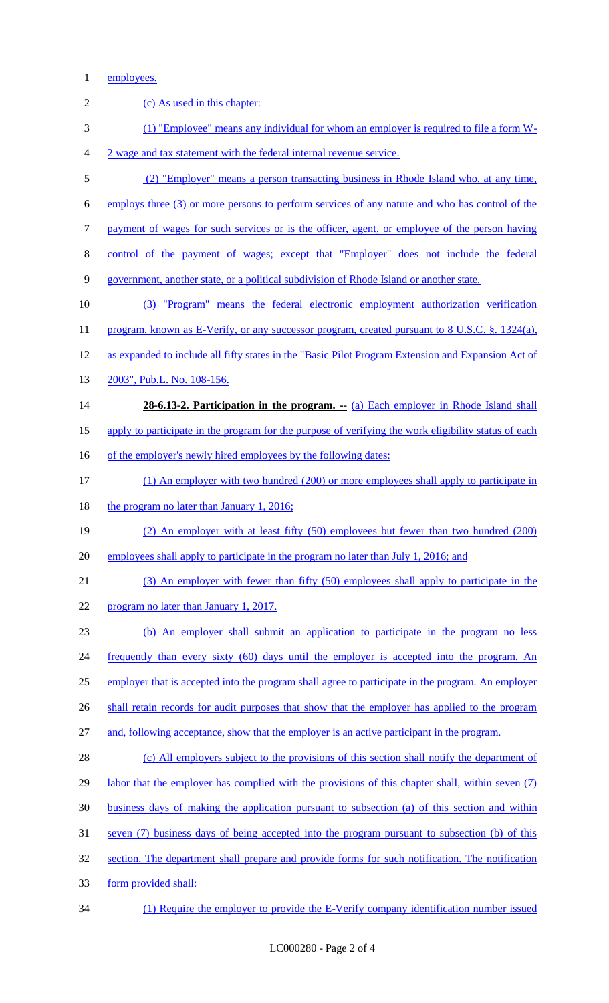### employees.

| $\mathbf{2}$     | (c) As used in this chapter:                                                                         |
|------------------|------------------------------------------------------------------------------------------------------|
| 3                | (1) "Employee" means any individual for whom an employer is required to file a form W-               |
| $\overline{4}$   | 2 wage and tax statement with the federal internal revenue service.                                  |
| 5                | (2) "Employer" means a person transacting business in Rhode Island who, at any time,                 |
| 6                | employs three (3) or more persons to perform services of any nature and who has control of the       |
| $\boldsymbol{7}$ | payment of wages for such services or is the officer, agent, or employee of the person having        |
| $8\,$            | control of the payment of wages; except that "Employer" does not include the federal                 |
| $\mathbf{9}$     | government, another state, or a political subdivision of Rhode Island or another state.              |
| 10               | "Program" means the federal electronic employment authorization verification<br>(3)                  |
| 11               | program, known as E-Verify, or any successor program, created pursuant to 8 U.S.C. §. 1324(a),       |
| 12               | as expanded to include all fifty states in the "Basic Pilot Program Extension and Expansion Act of   |
| 13               | 2003", Pub.L. No. 108-156.                                                                           |
| 14               | 28-6.13-2. Participation in the program. -- (a) Each employer in Rhode Island shall                  |
| 15               | apply to participate in the program for the purpose of verifying the work eligibility status of each |
| 16               | of the employer's newly hired employees by the following dates:                                      |
| 17               | (1) An employer with two hundred (200) or more employees shall apply to participate in               |
| 18               | the program no later than January 1, 2016;                                                           |
| 19               | (2) An employer with at least fifty (50) employees but fewer than two hundred (200)                  |
| 20               | employees shall apply to participate in the program no later than July 1, 2016; and                  |
| 21               | (3) An employer with fewer than fifty (50) employees shall apply to participate in the               |
| 22               | program no later than January 1, 2017.                                                               |
| 23               | (b) An employer shall submit an application to participate in the program no less                    |
| 24               | frequently than every sixty (60) days until the employer is accepted into the program. An            |
| 25               | employer that is accepted into the program shall agree to participate in the program. An employer    |
| 26               | shall retain records for audit purposes that show that the employer has applied to the program       |
| 27               | and, following acceptance, show that the employer is an active participant in the program.           |
| 28               | (c) All employers subject to the provisions of this section shall notify the department of           |
| 29               | labor that the employer has complied with the provisions of this chapter shall, within seven (7)     |
| 30               | business days of making the application pursuant to subsection (a) of this section and within        |
| 31               | seven (7) business days of being accepted into the program pursuant to subsection (b) of this        |
| 32               | section. The department shall prepare and provide forms for such notification. The notification      |
| 33               | form provided shall:                                                                                 |
| 34               | (1) Require the employer to provide the E-Verify company identification number issued                |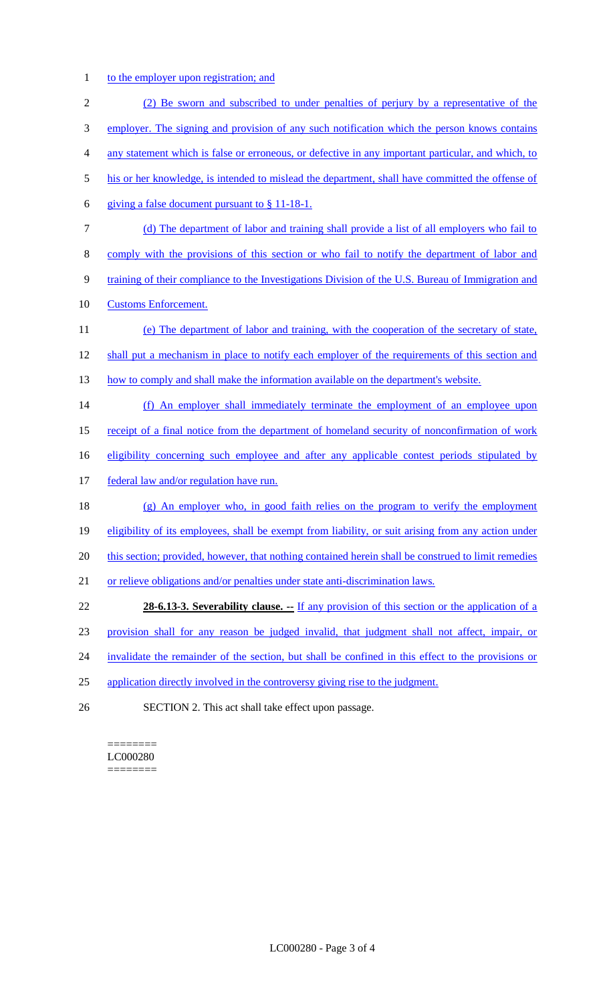## 1 to the employer upon registration; and

| $\overline{2}$ | (2) Be sworn and subscribed to under penalties of perjury by a representative of the                |
|----------------|-----------------------------------------------------------------------------------------------------|
| 3              | employer. The signing and provision of any such notification which the person knows contains        |
| 4              | any statement which is false or erroneous, or defective in any important particular, and which, to  |
| 5              | his or her knowledge, is intended to mislead the department, shall have committed the offense of    |
| 6              | giving a false document pursuant to § 11-18-1.                                                      |
| 7              | (d) The department of labor and training shall provide a list of all employers who fail to          |
| 8              | comply with the provisions of this section or who fail to notify the department of labor and        |
| 9              | training of their compliance to the Investigations Division of the U.S. Bureau of Immigration and   |
| 10             | <b>Customs Enforcement.</b>                                                                         |
| 11             | (e) The department of labor and training, with the cooperation of the secretary of state,           |
| 12             | shall put a mechanism in place to notify each employer of the requirements of this section and      |
| 13             | how to comply and shall make the information available on the department's website.                 |
| 14             | (f) An employer shall immediately terminate the employment of an employee upon                      |
| 15             | receipt of a final notice from the department of homeland security of nonconfirmation of work       |
| 16             | eligibility concerning such employee and after any applicable contest periods stipulated by         |
| 17             | federal law and/or regulation have run.                                                             |
| 18             | $(g)$ An employer who, in good faith relies on the program to verify the employment                 |
| 19             | eligibility of its employees, shall be exempt from liability, or suit arising from any action under |
| 20             | this section; provided, however, that nothing contained herein shall be construed to limit remedies |
| 21             | or relieve obligations and/or penalties under state anti-discrimination laws.                       |
| 22             | <b>28-6.13-3. Severability clause.</b> -- If any provision of this section or the application of a  |
| 23             | provision shall for any reason be judged invalid, that judgment shall not affect, impair, or        |
| 24             | invalidate the remainder of the section, but shall be confined in this effect to the provisions or  |
| 25             | application directly involved in the controversy giving rise to the judgment.                       |
| 26             | SECTION 2. This act shall take effect upon passage.                                                 |

#### ======== LC000280  $=$